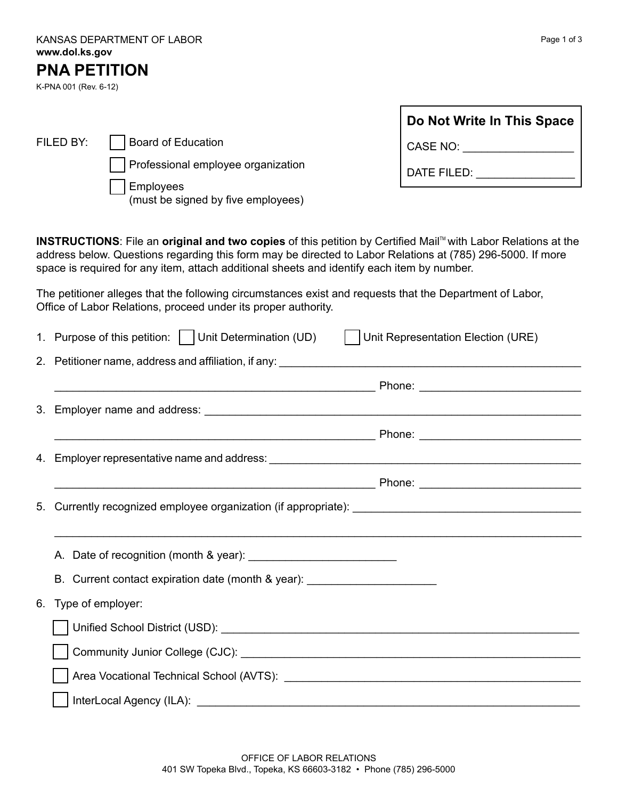| KANSAS DEPARTMENT OF LABOR |
|----------------------------|
| www.dol.ks.gov             |
| ------------               |

FILED BY: **Board of Education** 

Employees

(must be signed by five employees)

## **PNA PETITION**

K-PNA 001 (Rev. 6-12)

|                                                    | Do Not Write In This Space |
|----------------------------------------------------|----------------------------|
| Board of Education                                 | CASE NO:                   |
| Professional employee organization<br>مممرين دهامي | DATE FILED:                |

**INSTRUCTIONS:** File an original and two copies of this petition by Certified Mail™ with Labor Relations at the address below. Questions regarding this form may be directed to Labor Relations at (785) 296-5000. If more space is required for any item, attach additional sheets and identify each item by number.

The petitioner alleges that the following circumstances exist and requests that the Department of Labor, Office of Labor Relations, proceed under its proper authority.

|    | 1. Purpose of this petition:     Unit Determination (UD)    <br>Unit Representation Election (URE)                                                                                                                             |
|----|--------------------------------------------------------------------------------------------------------------------------------------------------------------------------------------------------------------------------------|
|    | 2. Petitioner name, address and affiliation, if any: 2008. The matter of the control of the control of the control of the control of the control of the control of the control of the control of the control of the control of |
|    |                                                                                                                                                                                                                                |
|    |                                                                                                                                                                                                                                |
|    |                                                                                                                                                                                                                                |
|    |                                                                                                                                                                                                                                |
|    |                                                                                                                                                                                                                                |
|    |                                                                                                                                                                                                                                |
|    |                                                                                                                                                                                                                                |
|    |                                                                                                                                                                                                                                |
|    | B. Current contact expiration date (month & year): _____________________________                                                                                                                                               |
| 6. | Type of employer:                                                                                                                                                                                                              |
|    |                                                                                                                                                                                                                                |
|    |                                                                                                                                                                                                                                |
|    |                                                                                                                                                                                                                                |
|    |                                                                                                                                                                                                                                |

Page 1 of 3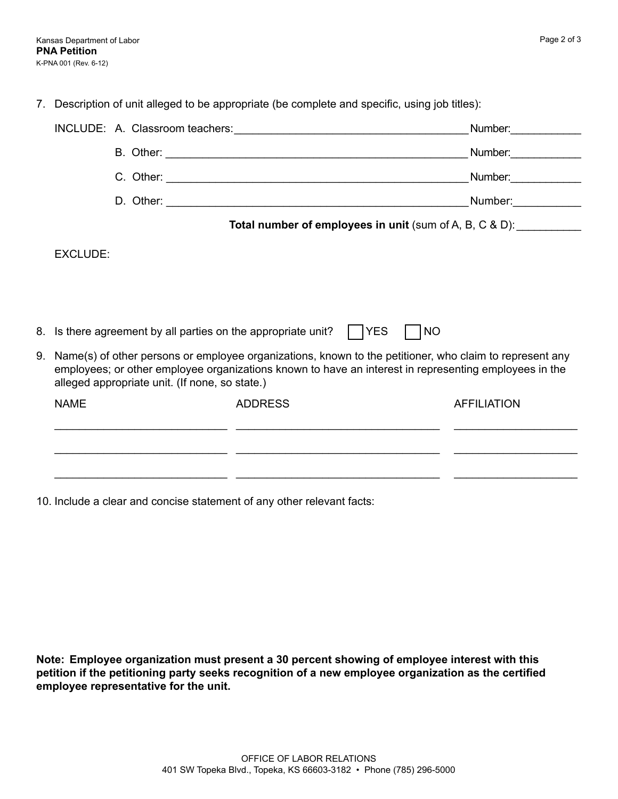7. Description of unit alleged to be appropriate (be complete and specific, using job titles):

|                                                                                                                                                                                                                                                                       |                                                                     | Number:                                                                                                                                                                                                                        |  |  |  |
|-----------------------------------------------------------------------------------------------------------------------------------------------------------------------------------------------------------------------------------------------------------------------|---------------------------------------------------------------------|--------------------------------------------------------------------------------------------------------------------------------------------------------------------------------------------------------------------------------|--|--|--|
|                                                                                                                                                                                                                                                                       |                                                                     | Number:                                                                                                                                                                                                                        |  |  |  |
|                                                                                                                                                                                                                                                                       |                                                                     | Number: and the state of the state of the state of the state of the state of the state of the state of the state of the state of the state of the state of the state of the state of the state of the state of the state of th |  |  |  |
|                                                                                                                                                                                                                                                                       |                                                                     | Number: Number:                                                                                                                                                                                                                |  |  |  |
|                                                                                                                                                                                                                                                                       | Total number of employees in unit (sum of A, B, C & D): ___________ |                                                                                                                                                                                                                                |  |  |  |
| EXCLUDE:                                                                                                                                                                                                                                                              |                                                                     |                                                                                                                                                                                                                                |  |  |  |
| 8. Is there agreement by all parties on the appropriate unit?     YES                                                                                                                                                                                                 | <b>NO</b>                                                           |                                                                                                                                                                                                                                |  |  |  |
| 9. Name(s) of other persons or employee organizations, known to the petitioner, who claim to represent any<br>employees; or other employee organizations known to have an interest in representing employees in the<br>alleged appropriate unit. (If none, so state.) |                                                                     |                                                                                                                                                                                                                                |  |  |  |
| <b>NAME</b>                                                                                                                                                                                                                                                           | <b>ADDRESS</b>                                                      | <b>AFFILIATION</b>                                                                                                                                                                                                             |  |  |  |
|                                                                                                                                                                                                                                                                       |                                                                     |                                                                                                                                                                                                                                |  |  |  |
|                                                                                                                                                                                                                                                                       |                                                                     |                                                                                                                                                                                                                                |  |  |  |

10. Include a clear and concise statement of any other relevant facts:

**Note: Employee organization must present a 30 percent showing of employee interest with this petition if the petitioning party seeks recognition of a new employee organization as the certified employee representative for the unit.**